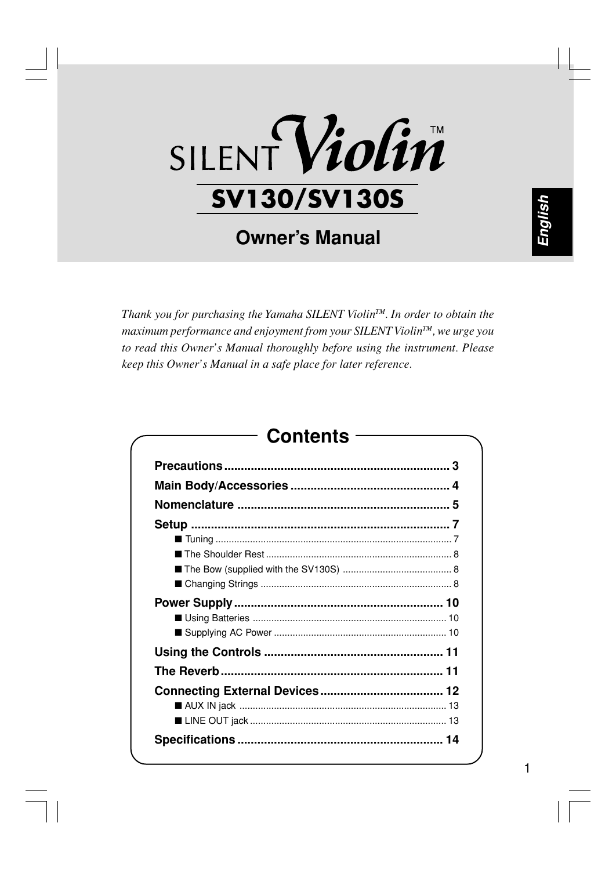# SILENT Violin **SV130/SV130S**

### **Owner's Manual**

*Thank you for purchasing the Yamaha SILENT ViolinTM. In order to obtain the maximum performance and enjoyment from your SILENT ViolinTM, we urge you to read this Owner's Manual thoroughly before using the instrument. Please keep this Owner's Manual in a safe place for later reference.*

### **Contents**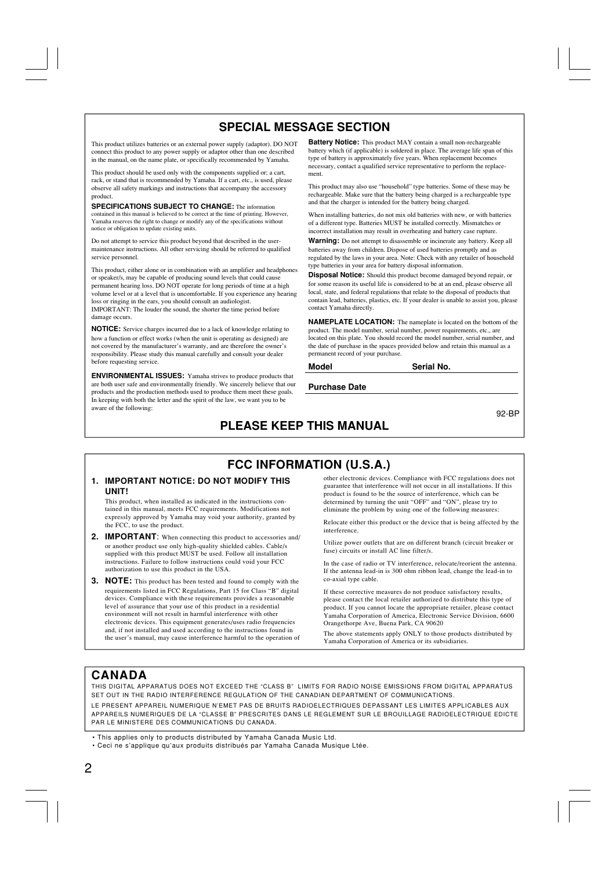### **SPECIAL MESSAGE SECTION**

This product utilizes batteries or an external power supply (adaptor). DO NOT connect this product to any power supply or adaptor other than one described in the manual, on the name plate, or specifically recommended by Yamaha.

This product should be used only with the components supplied or; a cart, rack, or stand that is recommended by Yamaha. If a cart, etc., is used, please observe all safety markings and instructions that accompany the accessory product.

**SPECIFICATIONS SUBJECT TO CHANGE:** The information contained in this manual is believed to be correct at the time of printing. However, Yamaha reserves the right to change or modify any of the specifications without notice or obligation to update existing units.

Do not attempt to service this product beyond that described in the usermaintenance instructions. All other servicing should be referred to qualified service personnel.

This product, either alone or in combination with an amplifier and headphones or speaker/s, may be capable of producing sound levels that could cause permanent hearing loss. DO NOT operate for long periods of time at a high volume level or at a level that is uncomfortable. If you experience any hearing loss or ringing in the ears, you should consult an audiologist. IMPORTANT: The louder the sound, the shorter the time period before damage occurs.

**NOTICE:** Service charges incurred due to a lack of knowledge relating to how a function or effect works (when the unit is operating as designed) are not covered by the manufacturer's warranty, and are therefore the owner's responsibility. Please study this manual carefully and consult your dealer before requesting service.

**ENVIRONMENTAL ISSUES:** Yamaha strives to produce products that are both user safe and environmentally friendly. We sincerely believe that our products and the production methods used to produce them meet these goals. In keeping with both the letter and the spirit of the law, we want you to be aware of the following:

**Battery Notice:** This product MAY contain a small non-rechargeable battery which (if applicable) is soldered in place. The average life span of this type of battery is approximately five years. When replacement becomes necessary, contact a qualified service representative to perform the replacement.

This product may also use "household" type batteries. Some of these may be rechargeable. Make sure that the battery being charged is a rechargeable type and that the charger is intended for the battery being charged.

When installing batteries, do not mix old batteries with new, or with batteries of a different type. Batteries MUST be installed correctly. Mismatches or incorrect installation may result in overheating and battery case rupture.

**Warning:** Do not attempt to disassemble or incinerate any battery. Keep all batteries away from children. Dispose of used batteries promptly and as regulated by the laws in your area. Note: Check with any retailer of household type batteries in your area for battery disposal information.

**Disposal Notice:** Should this product become damaged beyond repair, or for some reason its useful life is considered to be at an end, please observe all local, state, and federal regulations that relate to the disposal of products that contain lead, batteries, plastics, etc. If your dealer is unable to assist you, please contact Yamaha directly.

**NAMEPLATE LOCATION:** The nameplate is located on the bottom of the product. The model number, serial number, power requirements, etc., are located on this plate. You should record the model number, serial number, and the date of purchase in the spaces provided below and retain this manual as a permanent record of your purchase.

**Model Serial No.**

**Purchase Date**

92-BP

### **PLEASE KEEP THIS MANUAL**

### **FCC INFORMATION (U.S.A.)**

#### **1. IMPORTANT NOTICE: DO NOT MODIFY THIS UNIT!**

This product, when installed as indicated in the instructions contained in this manual, meets FCC requirements. Modifications not expressly approved by Yamaha may void your authority, granted by the FCC, to use the product.

- **2. IMPORTANT**: When connecting this product to accessories and/ or another product use only high-quality shielded cables. Cable/s supplied with this product MUST be used. Follow all installation instructions. Failure to follow instructions could void your FCC authorization to use this product in the USA.
- **3. NOTE:** This product has been tested and found to comply with the requirements listed in FCC Regulations, Part 15 for Class "B" digital devices. Compliance with these requirements provides a reasonable level of assurance that your use of this product in a residential environment will not result in harmful interference with other electronic devices. This equipment generates/uses radio frequencies and, if not installed and used according to the instructions found in the user's manual, may cause interference harmful to the operation of

other electronic devices. Compliance with FCC regulations does not guarantee that interference will not occur in all installations. If this product is found to be the source of interference, which can be determined by turning the unit "OFF" and "ON", please try to eliminate the problem by using one of the following measures:

Relocate either this product or the device that is being affected by the interference.

Utilize power outlets that are on different branch (circuit breaker or fuse) circuits or install AC line filter/s.

In the case of radio or TV interference, relocate/reorient the antenna. If the antenna lead-in is 300 ohm ribbon lead, change the lead-in to co-axial type cable.

If these corrective measures do not produce satisfactory results, please contact the local retailer authorized to distribute this type of product. If you cannot locate the appropriate retailer, please contact Yamaha Corporation of America, Electronic Service Division, 6600 Orangethorpe Ave, Buena Park, CA 90620

The above statements apply ONLY to those products distributed by Yamaha Corporation of America or its subsidiaries.

### **CANADA**

THIS DIGITAL APPARATUS DOES NOT EXCEED THE "CLASS B" LIMITS FOR RADIO NOISE EMISSIONS FROM DIGITAL APPARATUS SET OUT IN THE RADIO INTERFERENCE REGULATION OF THE CANADIAN DEPARTMENT OF COMMUNICATIONS.

LE PRESENT APPAREIL NUMERIQUE N'EMET PAS DE BRUITS RADIOELECTRIQUES DEPASSANT LES LIMITES APPLICABLES AUX APPAREILS NUMERIQUES DE LA "CLASSE B" PRESCRITES DANS LE REGLEMENT SUR LE BROUILLAGE RADIOELECTRIQUE EDICTE PAR LE MINISTERE DES COMMUNICATIONS DU CANADA.

• This applies only to products distributed by Yamaha Canada Music Ltd.

• Ceci ne s'applique qu'aux produits distribués par Yamaha Canada Musique Ltée.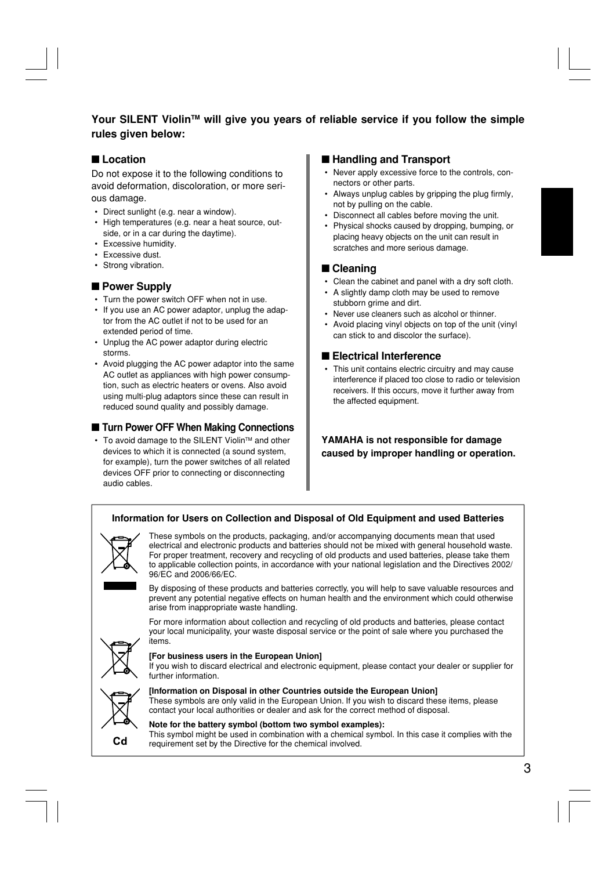### **Your SILENT ViolinTM will give you years of reliable service if you follow the simple rules given below:**

### ■**Location**

Do not expose it to the following conditions to avoid deformation, discoloration, or more serious damage.

- Direct sunlight (e.g. near a window).
- High temperatures (e.g. near a heat source, outside, or in a car during the daytime).
- Excessive humidity.
- Excessive dust.
- Strong vibration.

#### ■ Power Supply

- Turn the power switch OFF when not in use.
- If you use an AC power adaptor, unplug the adaptor from the AC outlet if not to be used for an extended period of time.
- Unplug the AC power adaptor during electric storms.
- Avoid plugging the AC power adaptor into the same AC outlet as appliances with high power consumption, such as electric heaters or ovens. Also avoid using multi-plug adaptors since these can result in reduced sound quality and possibly damage.

### ■ **Turn Power OFF When Making Connections**

• To avoid damage to the SILENT Violin™ and other devices to which it is connected (a sound system, for example), turn the power switches of all related devices OFF prior to connecting or disconnecting audio cables.

### ■ **Handling and Transport**

- Never apply excessive force to the controls, connectors or other parts.
- Always unplug cables by gripping the plug firmly, not by pulling on the cable.
- Disconnect all cables before moving the unit.
- Physical shocks caused by dropping, bumping, or placing heavy objects on the unit can result in scratches and more serious damage.

### ■ Cleaning

- Clean the cabinet and panel with a dry soft cloth.
- A slightly damp cloth may be used to remove stubborn grime and dirt.
- Never use cleaners such as alcohol or thinner.
- Avoid placing vinyl objects on top of the unit (vinyl can stick to and discolor the surface).

#### ■ **Electrical Interference**

• This unit contains electric circuitry and may cause interference if placed too close to radio or television receivers. If this occurs, move it further away from the affected equipment.

**YAMAHA is not responsible for damage caused by improper handling or operation.**

#### **Information for Users on Collection and Disposal of Old Equipment and used Batteries**



These symbols on the products, packaging, and/or accompanying documents mean that used electrical and electronic products and batteries should not be mixed with general household waste. For proper treatment, recovery and recycling of old products and used batteries, please take them to applicable collection points, in accordance with your national legislation and the Directives 2002/ 96/EC and 2006/66/EC.

By disposing of these products and batteries correctly, you will help to save valuable resources and prevent any potential negative effects on human health and the environment which could otherwise arise from inappropriate waste handling.

For more information about collection and recycling of old products and batteries, please contact your local municipality, your waste disposal service or the point of sale where you purchased the items.



#### **[For business users in the European Union]**

If you wish to discard electrical and electronic equipment, please contact your dealer or supplier for further information.



**[Information on Disposal in other Countries outside the European Union]** These symbols are only valid in the European Union. If you wish to discard these items, please contact your local authorities or dealer and ask for the correct method of disposal.

#### **Note for the battery symbol (bottom two symbol examples):** This symbol might be used in combination with a chemical symbol. In this case it complies with the requirement set by the Directive for the chemical involved.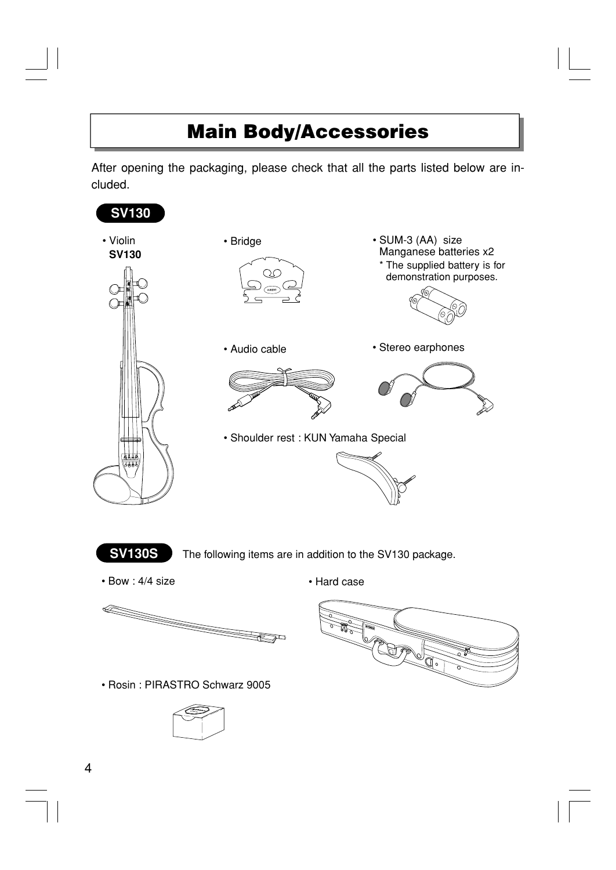### **Main Body/Accessories**

After opening the packaging, please check that all the parts listed below are included.

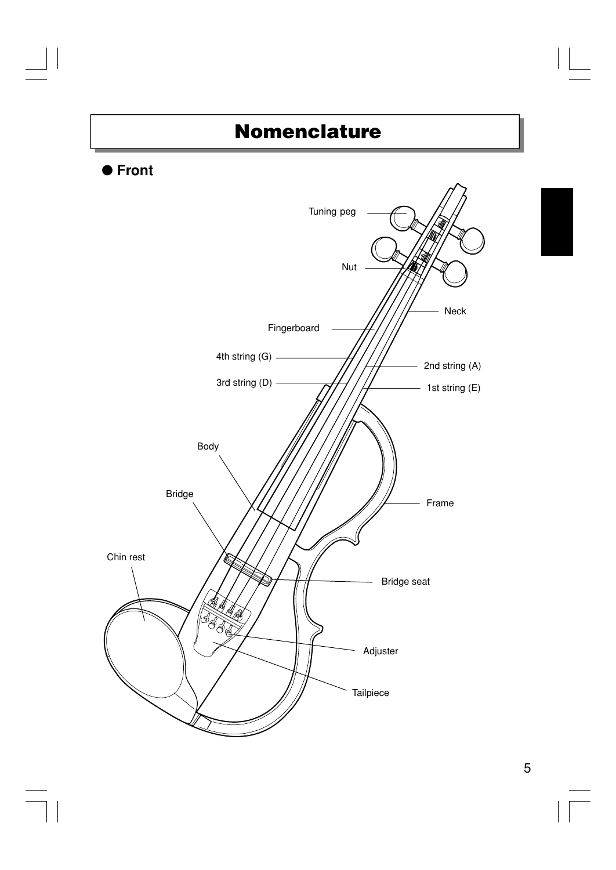### **Nomenclature**

### ● **Front**

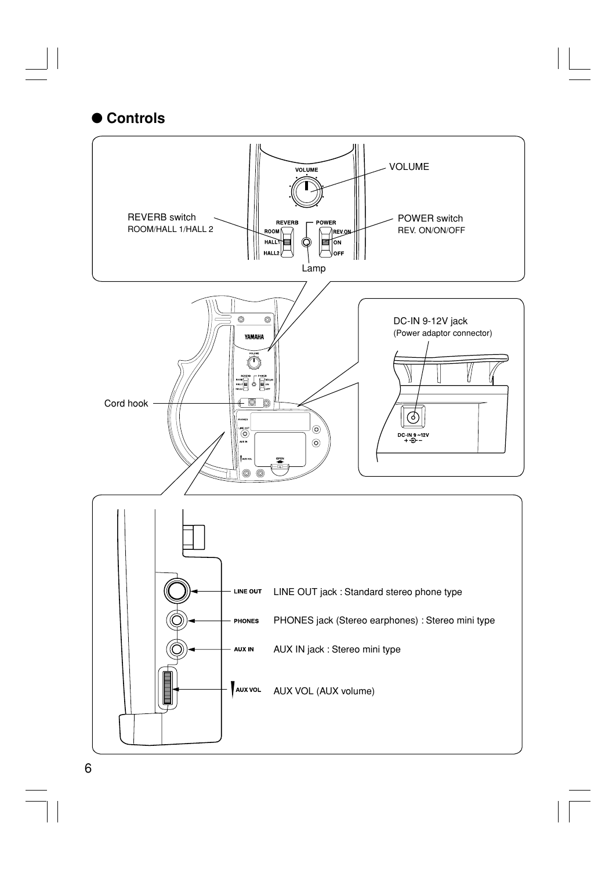### ● **Controls**

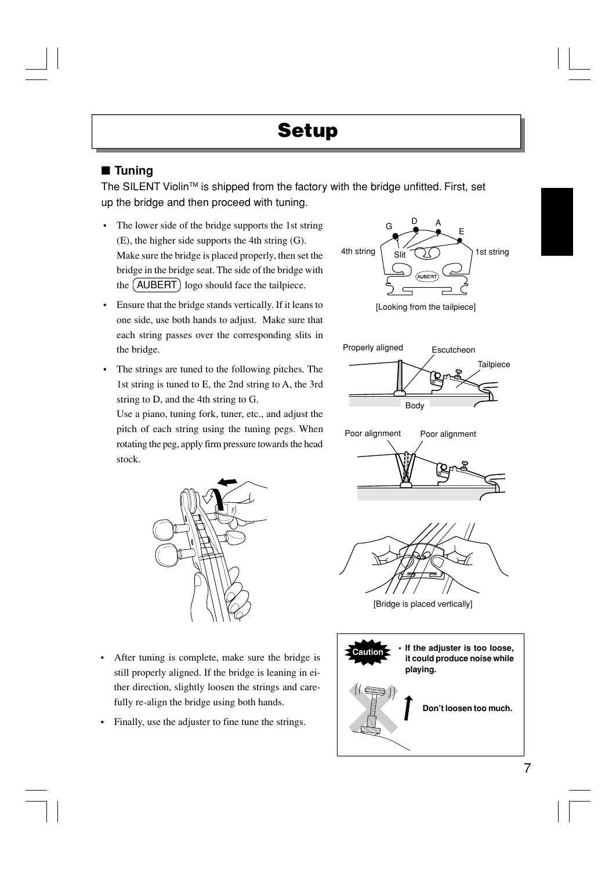### ■ **Tuning**

The SILENT Violin<sup>TM</sup> is shipped from the factory with the bridge unfitted. First, set up the bridge and then proceed with tuning.

- The lower side of the bridge supports the 1st string (E), the higher side supports the 4th string (G). Make sure the bridge is placed properly, then set the bridge in the bridge seat. The side of the bridge with the (AUBERT) logo should face the tailpiece.
- Ensure that the bridge stands vertically. If it leans to one side, use both hands to adjust. Make sure that each string passes over the corresponding slits in the bridge.
- The strings are tuned to the following pitches. The 1st string is tuned to E, the 2nd string to A, the 3rd string to D, and the 4th string to G.

Use a piano, tuning fork, tuner, etc., and adjust the pitch of each string using the tuning pegs. When rotating the peg, apply firm pressure towards the head stock.



- After tuning is complete, make sure the bridge is still properly aligned. If the bridge is leaning in either direction, slightly loosen the strings and carefully re-align the bridge using both hands.
- Finally, use the adjuster to fine tune the strings.



[Looking from the tailpiece]







[Bridge is placed vertically]

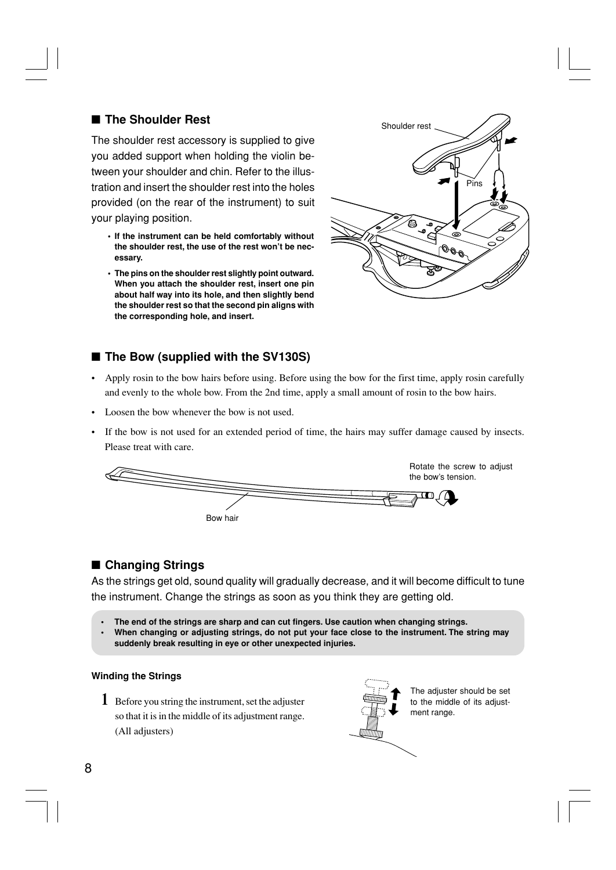### ■ **The Shoulder Rest**

The shoulder rest accessory is supplied to give you added support when holding the violin between your shoulder and chin. Refer to the illustration and insert the shoulder rest into the holes provided (on the rear of the instrument) to suit your playing position.

- **• If the instrument can be held comfortably without the shoulder rest, the use of the rest won't be necessary.**
- **• The pins on the shoulder rest slightly point outward. When you attach the shoulder rest, insert one pin about half way into its hole, and then slightly bend the shoulder rest so that the second pin aligns with the corresponding hole, and insert.**



### ■ **The Bow (supplied with the SV130S)**

- Apply rosin to the bow hairs before using. Before using the bow for the first time, apply rosin carefully and evenly to the whole bow. From the 2nd time, apply a small amount of rosin to the bow hairs.
- Loosen the bow whenever the bow is not used.
- If the bow is not used for an extended period of time, the hairs may suffer damage caused by insects. Please treat with care.



### ■ **Changing Strings**

As the strings get old, sound quality will gradually decrease, and it will become difficult to tune the instrument. Change the strings as soon as you think they are getting old.

- **The end of the strings are sharp and can cut fingers. Use caution when changing strings.**
- **• When changing or adjusting strings, do not put your face close to the instrument. The string may suddenly break resulting in eye or other unexpected injuries.**

#### **Winding the Strings**

**1** Before you string the instrument, set the adjuster so that it is in the middle of its adjustment range. (All adjusters)



The adjuster should be set to the middle of its adjustment range.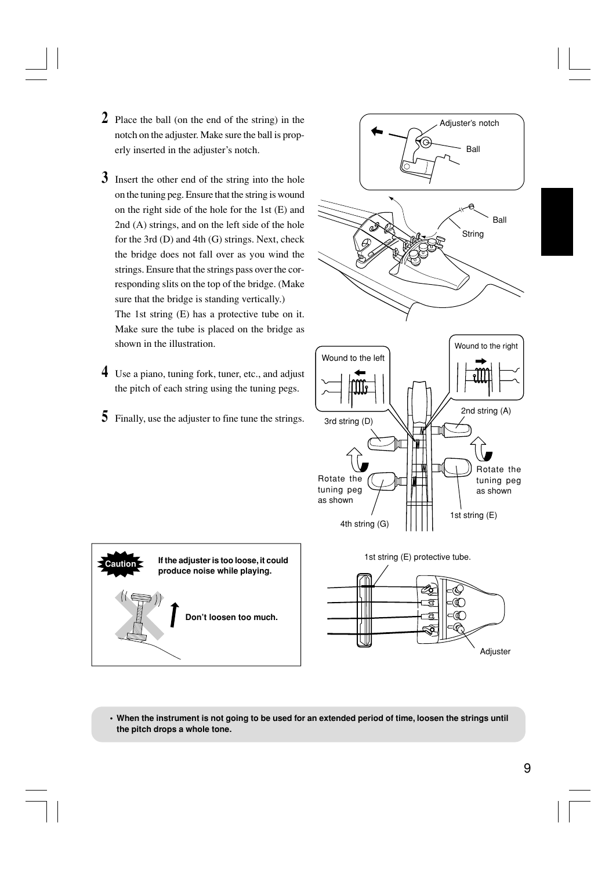- **2** Place the ball (on the end of the string) in the notch on the adjuster. Make sure the ball is properly inserted in the adjuster's notch.
- **3** Insert the other end of the string into the hole on the tuning peg. Ensure that the string is wound on the right side of the hole for the 1st (E) and 2nd (A) strings, and on the left side of the hole for the 3rd (D) and 4th (G) strings. Next, check the bridge does not fall over as you wind the strings. Ensure that the strings pass over the corresponding slits on the top of the bridge. (Make sure that the bridge is standing vertically.)

The 1st string (E) has a protective tube on it. Make sure the tube is placed on the bridge as shown in the illustration.

- **4** Use a piano, tuning fork, tuner, etc., and adjust the pitch of each string using the tuning pegs.
- **5** Finally, use the adjuster to fine tune the strings.





**• When the instrument is not going to be used for an extended period of time, loosen the strings until the pitch drops a whole tone.**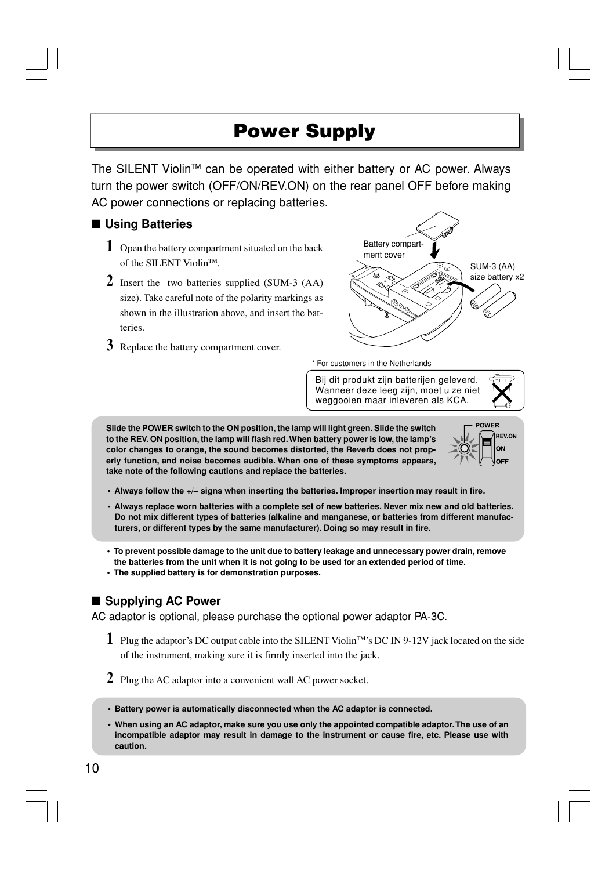### **Power Supply**

The SILENT Violin™ can be operated with either battery or AC power. Always turn the power switch (OFF/ON/REV.ON) on the rear panel OFF before making AC power connections or replacing batteries.

### ■ **Using Batteries**

- **1** Open the battery compartment situated on the back of the SILENT Violin™
- **2** Insert the two batteries supplied (SUM-3 (AA) size). Take careful note of the polarity markings as shown in the illustration above, and insert the batteries.
- **3** Replace the battery compartment cover.



\* For customers in the Netherlands

Bij dit produkt zijn batterijen geleverd. Wanneer deze leeg zijn, moet u ze niet weggooien maar inleveren als KCA.

**Slide the POWER switch to the ON position, the lamp will light green. Slide the switch to the REV. ON position, the lamp will flash red. When battery power is low, the lamp's color changes to orange, the sound becomes distorted, the Reverb does not properly function, and noise becomes audible. When one of these symptoms appears, take note of the following cautions and replace the batteries.**



- **Always follow the +/– signs when inserting the batteries. Improper insertion may result in fire.**
- **Always replace worn batteries with a complete set of new batteries. Never mix new and old batteries. Do not mix different types of batteries (alkaline and manganese, or batteries from different manufacturers, or different types by the same manufacturer). Doing so may result in fire.**
- **To prevent possible damage to the unit due to battery leakage and unnecessary power drain, remove the batteries from the unit when it is not going to be used for an extended period of time.**
- **The supplied battery is for demonstration purposes.**

### ■ Supplying AC Power

AC adaptor is optional, please purchase the optional power adaptor PA-3C.

- **1** Plug the adaptor's DC output cable into the SILENT ViolinTM's DC IN 9-12V jack located on the side of the instrument, making sure it is firmly inserted into the jack.
- **2** Plug the AC adaptor into a convenient wall AC power socket.
- **Battery power is automatically disconnected when the AC adaptor is connected.**
- **• When using an AC adaptor, make sure you use only the appointed compatible adaptor. The use of an incompatible adaptor may result in damage to the instrument or cause fire, etc. Please use with caution.**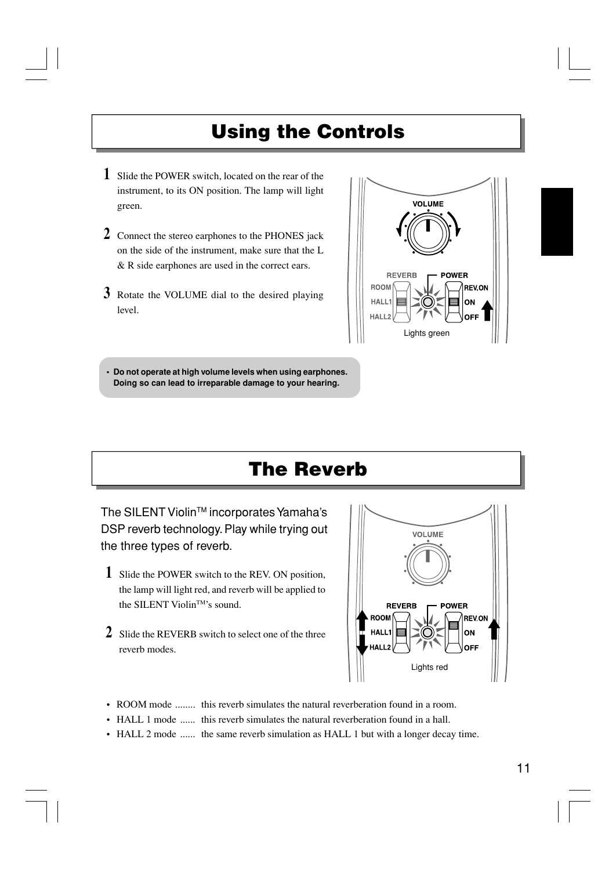### **Using the Controls**

- **1** Slide the POWER switch, located on the rear of the instrument, to its ON position. The lamp will light green.
- **2** Connect the stereo earphones to the PHONES jack on the side of the instrument, make sure that the L & R side earphones are used in the correct ears.
- **3** Rotate the VOLUME dial to the desired playing level.



**• Do not operate at high volume levels when using earphones. Doing so can lead to irreparable damage to your hearing.**

### **The Reverb**

The SILENT Violin™ incorporates Yamaha's DSP reverb technology. Play while trying out the three types of reverb.

- **1** Slide the POWER switch to the REV. ON position, the lamp will light red, and reverb will be applied to the SILENT ViolinTM's sound.
- **2** Slide the REVERB switch to select one of the three reverb modes.



- ROOM mode ........ this reverb simulates the natural reverberation found in a room.
- HALL 1 mode ...... this reverb simulates the natural reverberation found in a hall.
- HALL 2 mode ...... the same reverb simulation as HALL 1 but with a longer decay time.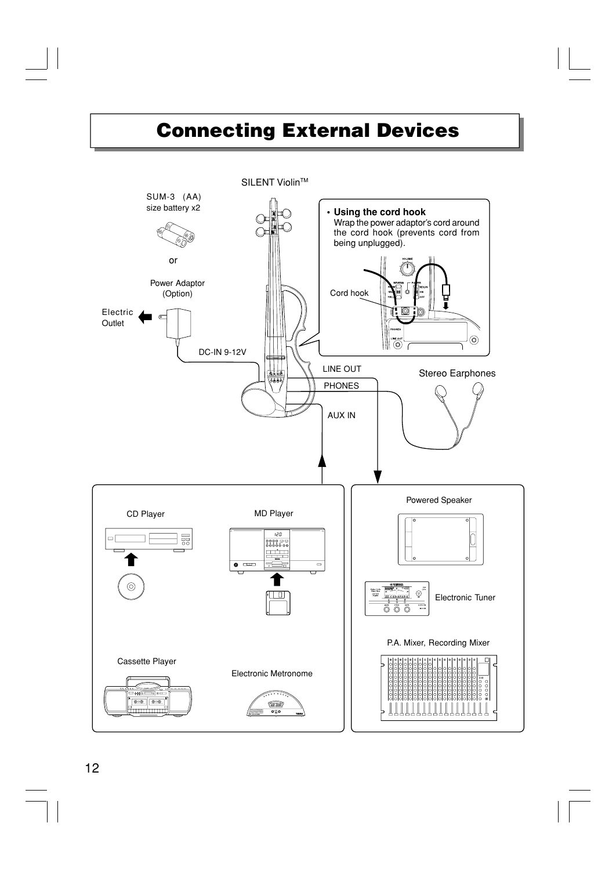### **Connecting External Devices**

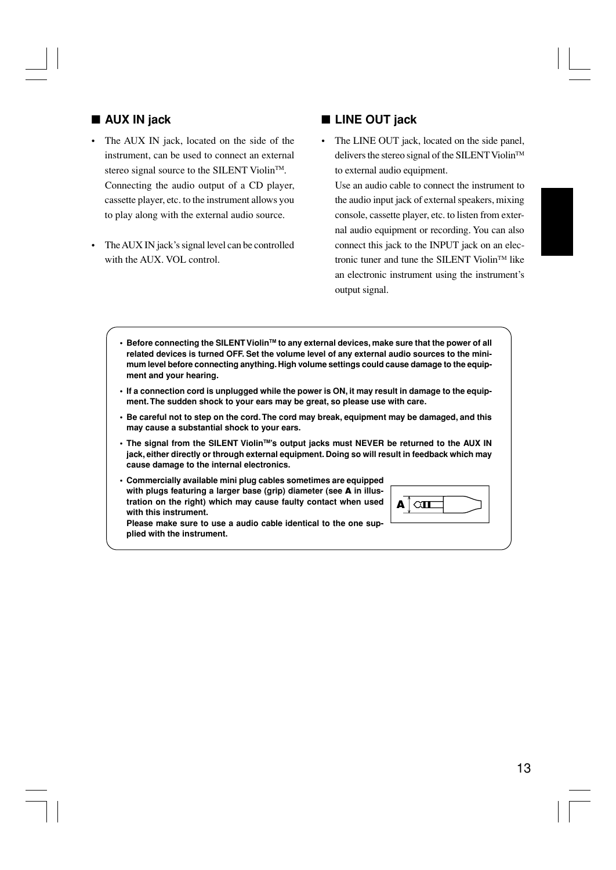### ■ **AUX IN** jack

- The AUX IN jack, located on the side of the instrument, can be used to connect an external stereo signal source to the SILENT Violin<sup>TM</sup>. Connecting the audio output of a CD player, cassette player, etc. to the instrument allows you to play along with the external audio source.
- The AUX IN jack's signal level can be controlled with the AUX. VOL control.

### ■ **LINE OUT jack**

• The LINE OUT jack, located on the side panel, delivers the stereo signal of the SILENT Violin<sup>TM</sup> to external audio equipment.

Use an audio cable to connect the instrument to the audio input jack of external speakers, mixing console, cassette player, etc. to listen from external audio equipment or recording. You can also connect this jack to the INPUT jack on an electronic tuner and tune the SILENT Violin™ like an electronic instrument using the instrument's output signal.

- **•** Before connecting the SILENT Violin™ to any external devices, make sure that the power of all **related devices is turned OFF. Set the volume level of any external audio sources to the minimum level before connecting anything. High volume settings could cause damage to the equipment and your hearing.**
- **• If a connection cord is unplugged while the power is ON, it may result in damage to the equipment. The sudden shock to your ears may be great, so please use with care.**
- **• Be careful not to step on the cord. The cord may break, equipment may be damaged, and this may cause a substantial shock to your ears.**
- **• The signal from the SILENT ViolinTM's output jacks must NEVER be returned to the AUX IN jack, either directly or through external equipment. Doing so will result in feedback which may cause damage to the internal electronics.**
- **• Commercially available mini plug cables sometimes are equipped with plugs featuring a larger base (grip) diameter (see A in illustration on the right) which may cause faulty contact when used with this instrument.**

|--|

**Please make sure to use a audio cable identical to the one supplied with the instrument.**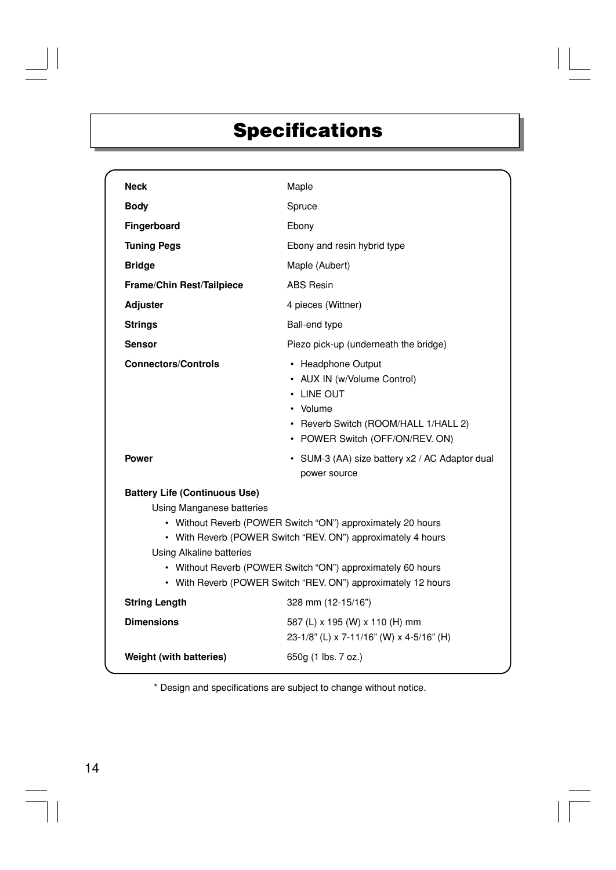## **Specifications**

| <b>Neck</b>                                                                                                                                                                                                                                                                                                                                                         | Maple                                                                                                                                                        |  |
|---------------------------------------------------------------------------------------------------------------------------------------------------------------------------------------------------------------------------------------------------------------------------------------------------------------------------------------------------------------------|--------------------------------------------------------------------------------------------------------------------------------------------------------------|--|
| <b>Body</b>                                                                                                                                                                                                                                                                                                                                                         | Spruce                                                                                                                                                       |  |
| Fingerboard                                                                                                                                                                                                                                                                                                                                                         | Ebony                                                                                                                                                        |  |
| <b>Tuning Pegs</b>                                                                                                                                                                                                                                                                                                                                                  | Ebony and resin hybrid type                                                                                                                                  |  |
| <b>Bridge</b>                                                                                                                                                                                                                                                                                                                                                       | Maple (Aubert)                                                                                                                                               |  |
| <b>Frame/Chin Rest/Tailpiece</b>                                                                                                                                                                                                                                                                                                                                    | <b>ABS Resin</b>                                                                                                                                             |  |
| <b>Adjuster</b>                                                                                                                                                                                                                                                                                                                                                     | 4 pieces (Wittner)                                                                                                                                           |  |
| <b>Strings</b>                                                                                                                                                                                                                                                                                                                                                      | Ball-end type                                                                                                                                                |  |
| <b>Sensor</b>                                                                                                                                                                                                                                                                                                                                                       | Piezo pick-up (underneath the bridge)                                                                                                                        |  |
| <b>Connectors/Controls</b>                                                                                                                                                                                                                                                                                                                                          | • Headphone Output<br>• AUX IN (w/Volume Control)<br>$\cdot$ LINE OUT<br>• Volume<br>• Reverb Switch (ROOM/HALL 1/HALL 2)<br>• POWER Switch (OFF/ON/REV. ON) |  |
| <b>Power</b>                                                                                                                                                                                                                                                                                                                                                        | • SUM-3 (AA) size battery x2 / AC Adaptor dual<br>power source                                                                                               |  |
| <b>Battery Life (Continuous Use)</b><br><b>Using Manganese batteries</b><br>• Without Reverb (POWER Switch "ON") approximately 20 hours<br>• With Reverb (POWER Switch "REV. ON") approximately 4 hours<br>Using Alkaline batteries<br>• Without Reverb (POWER Switch "ON") approximately 60 hours<br>• With Reverb (POWER Switch "REV. ON") approximately 12 hours |                                                                                                                                                              |  |
| <b>String Length</b>                                                                                                                                                                                                                                                                                                                                                | 328 mm (12-15/16")                                                                                                                                           |  |
| <b>Dimensions</b>                                                                                                                                                                                                                                                                                                                                                   | 587 (L) x 195 (W) x 110 (H) mm<br>23-1/8" (L) x 7-11/16" (W) x 4-5/16" (H)                                                                                   |  |
| Weight (with batteries)                                                                                                                                                                                                                                                                                                                                             | 650g (1 lbs. 7 oz.)                                                                                                                                          |  |

\* Design and specifications are subject to change without notice.